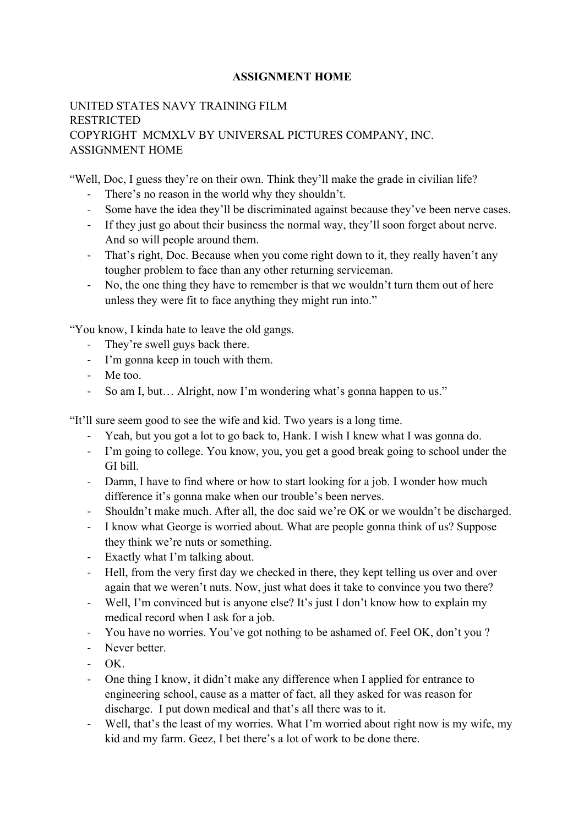#### **ASSIGNMENT HOME**

## UNITED STATES NAVY TRAINING FILM RESTRICTED COPYRIGHT MCMXLV BY UNIVERSAL PICTURES COMPANY, INC. ASSIGNMENT HOME

"Well, Doc, I guess they're on their own. Think they'll make the grade in civilian life?

- There's no reason in the world why they shouldn't.
- Some have the idea they'll be discriminated against because they've been nerve cases.
- If they just go about their business the normal way, they'll soon forget about nerve. And so will people around them.
- That's right, Doc. Because when you come right down to it, they really haven't any tougher problem to face than any other returning serviceman.
- No, the one thing they have to remember is that we wouldn't turn them out of here unless they were fit to face anything they might run into."

"You know, I kinda hate to leave the old gangs.

- They're swell guys back there.
- I'm gonna keep in touch with them.
- Me too.
- So am I, but... Alright, now I'm wondering what's gonna happen to us."

"It'll sure seem good to see the wife and kid. Two years is a long time.

- Yeah, but you got a lot to go back to, Hank. I wish I knew what I was gonna do.
- I'm going to college. You know, you, you get a good break going to school under the GI bill.
- Damn, I have to find where or how to start looking for a job. I wonder how much difference it's gonna make when our trouble's been nerves.
- Shouldn't make much. After all, the doc said we're OK or we wouldn't be discharged.
- I know what George is worried about. What are people gonna think of us? Suppose they think we're nuts or something.
- Exactly what I'm talking about.
- Hell, from the very first day we checked in there, they kept telling us over and over again that we weren't nuts. Now, just what does it take to convince you two there?
- Well, I'm convinced but is anyone else? It's just I don't know how to explain my medical record when I ask for a job.
- You have no worries. You've got nothing to be ashamed of. Feel OK, don't you ?
- Never better
- $-$  OK
- One thing I know, it didn't make any difference when I applied for entrance to engineering school, cause as a matter of fact, all they asked for was reason for discharge. I put down medical and that's all there was to it.
- Well, that's the least of my worries. What I'm worried about right now is my wife, my kid and my farm. Geez, I bet there's a lot of work to be done there.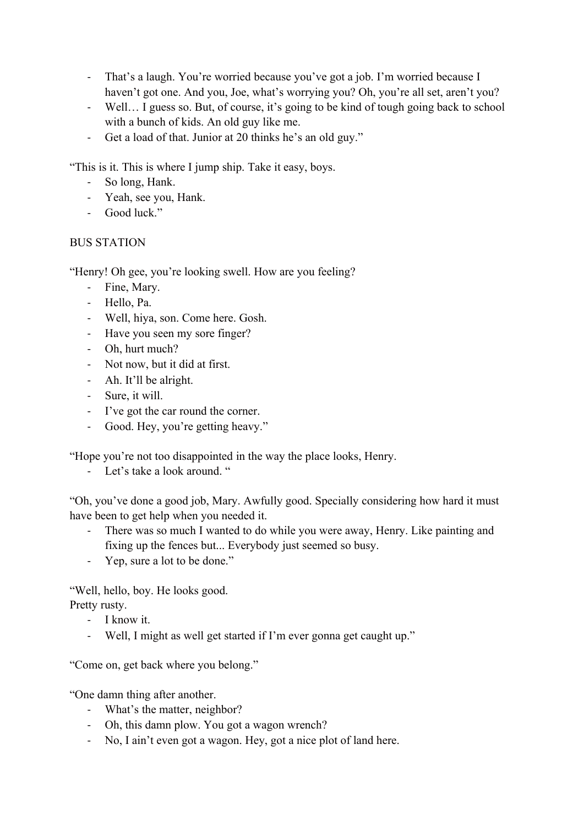- That's a laugh. You're worried because you've got a job. I'm worried because I haven't got one. And you, Joe, what's worrying you? Oh, you're all set, aren't you?
- Well… I guess so. But, of course, it's going to be kind of tough going back to school with a bunch of kids. An old guy like me.
- Get a load of that. Junior at 20 thinks he's an old guy."

"This is it. This is where I jump ship. Take it easy, boys.

- So long, Hank.
- Yeah, see you, Hank.
- Good luck."

### BUS STATION

"Henry! Oh gee, you're looking swell. How are you feeling?

- Fine, Mary.
- Hello, Pa.
- Well, hiya, son. Come here. Gosh.
- Have you seen my sore finger?
- Oh, hurt much?
- Not now, but it did at first.
- Ah. It'll be alright.
- Sure, it will.
- I've got the car round the corner.
- Good. Hey, you're getting heavy."

"Hope you're not too disappointed in the way the place looks, Henry.

- Let's take a look around. "

"Oh, you've done a good job, Mary. Awfully good. Specially considering how hard it must have been to get help when you needed it.

- There was so much I wanted to do while you were away, Henry. Like painting and fixing up the fences but... Everybody just seemed so busy.
- Yep, sure a lot to be done."

"Well, hello, boy. He looks good.

Pretty rusty.

- I know it.
- Well, I might as well get started if I'm ever gonna get caught up."

"Come on, get back where you belong."

"One damn thing after another.

- What's the matter, neighbor?
- Oh, this damn plow. You got a wagon wrench?
- No, I ain't even got a wagon. Hey, got a nice plot of land here.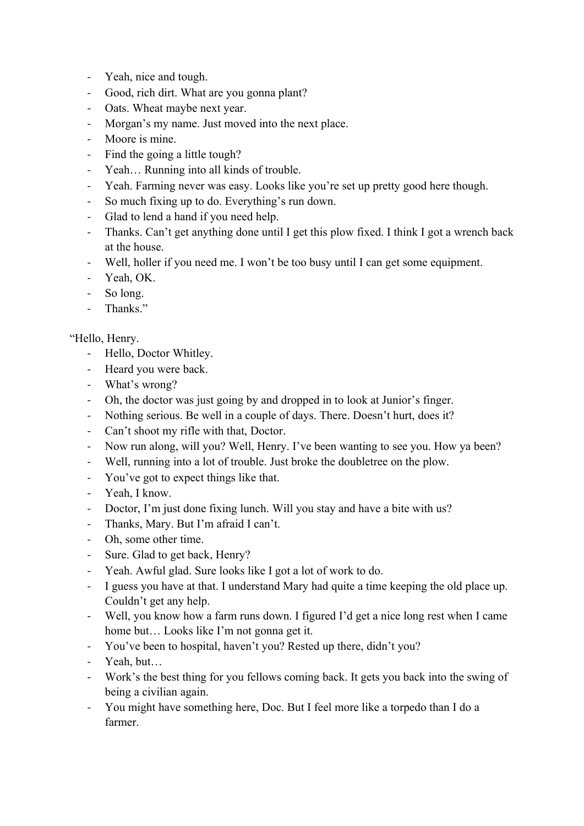- Yeah, nice and tough.
- Good, rich dirt. What are you gonna plant?
- Oats. Wheat maybe next year.
- Morgan's my name. Just moved into the next place.
- Moore is mine.
- Find the going a little tough?
- Yeah… Running into all kinds of trouble.
- Yeah. Farming never was easy. Looks like you're set up pretty good here though.
- So much fixing up to do. Everything's run down.
- Glad to lend a hand if you need help.
- Thanks. Can't get anything done until I get this plow fixed. I think I got a wrench back at the house.
- Well, holler if you need me. I won't be too busy until I can get some equipment.
- Yeah, OK.
- So long.
- Thanks."

## "Hello, Henry.

- Hello, Doctor Whitley.
- Heard you were back.
- What's wrong?
- Oh, the doctor was just going by and dropped in to look at Junior's finger.
- Nothing serious. Be well in a couple of days. There. Doesn't hurt, does it?
- Can't shoot my rifle with that, Doctor.
- Now run along, will you? Well, Henry. I've been wanting to see you. How ya been?
- Well, running into a lot of trouble. Just broke the doubletree on the plow.
- You've got to expect things like that.
- Yeah, I know.
- Doctor, I'm just done fixing lunch. Will you stay and have a bite with us?
- Thanks, Mary. But I'm afraid I can't.
- Oh, some other time.
- Sure. Glad to get back, Henry?
- Yeah. Awful glad. Sure looks like I got a lot of work to do.
- I guess you have at that. I understand Mary had quite a time keeping the old place up. Couldn't get any help.
- Well, you know how a farm runs down. I figured I'd get a nice long rest when I came home but… Looks like I'm not gonna get it.
- You've been to hospital, haven't you? Rested up there, didn't you?
- Yeah, but…
- Work's the best thing for you fellows coming back. It gets you back into the swing of being a civilian again.
- You might have something here, Doc. But I feel more like a torpedo than I do a farmer.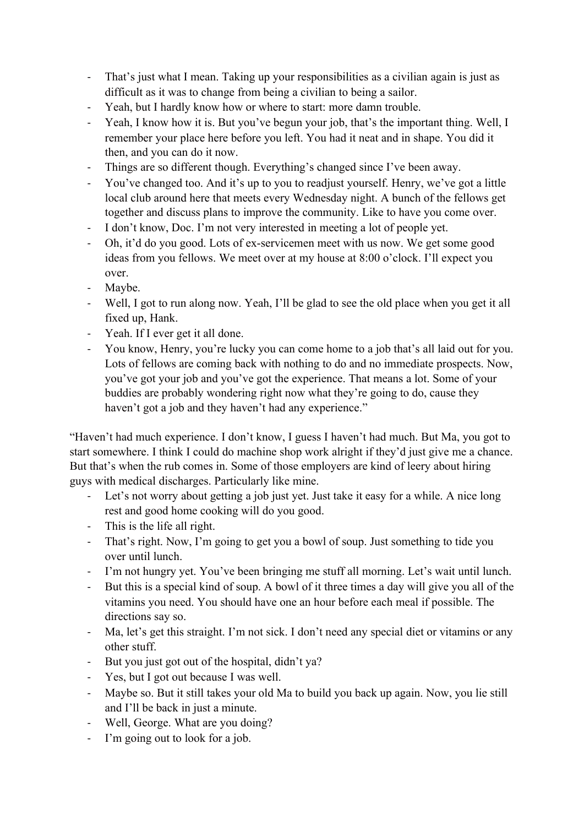- That's just what I mean. Taking up your responsibilities as a civilian again is just as difficult as it was to change from being a civilian to being a sailor.
- Yeah, but I hardly know how or where to start: more damn trouble.
- Yeah, I know how it is. But you've begun your job, that's the important thing. Well, I remember your place here before you left. You had it neat and in shape. You did it then, and you can do it now.
- Things are so different though. Everything's changed since I've been away.
- You've changed too. And it's up to you to readjust yourself. Henry, we've got a little local club around here that meets every Wednesday night. A bunch of the fellows get together and discuss plans to improve the community. Like to have you come over.
- I don't know, Doc. I'm not very interested in meeting a lot of people yet.
- Oh, it'd do you good. Lots of ex-servicemen meet with us now. We get some good ideas from you fellows. We meet over at my house at 8:00 o'clock. I'll expect you over.
- Maybe.
- Well, I got to run along now. Yeah, I'll be glad to see the old place when you get it all fixed up, Hank.
- Yeah. If I ever get it all done.
- You know, Henry, you're lucky you can come home to a job that's all laid out for you. Lots of fellows are coming back with nothing to do and no immediate prospects. Now, you've got your job and you've got the experience. That means a lot. Some of your buddies are probably wondering right now what they're going to do, cause they haven't got a job and they haven't had any experience."

"Haven't had much experience. I don't know, I guess I haven't had much. But Ma, you got to start somewhere. I think I could do machine shop work alright if they'd just give me a chance. But that's when the rub comes in. Some of those employers are kind of leery about hiring guys with medical discharges. Particularly like mine.

- Let's not worry about getting a job just yet. Just take it easy for a while. A nice long rest and good home cooking will do you good.
- This is the life all right.
- That's right. Now, I'm going to get you a bowl of soup. Just something to tide you over until lunch.
- I'm not hungry yet. You've been bringing me stuff all morning. Let's wait until lunch.
- But this is a special kind of soup. A bowl of it three times a day will give you all of the vitamins you need. You should have one an hour before each meal if possible. The directions say so.
- Ma, let's get this straight. I'm not sick. I don't need any special diet or vitamins or any other stuff.
- But you just got out of the hospital, didn't ya?
- Yes, but I got out because I was well.
- Maybe so. But it still takes your old Ma to build you back up again. Now, you lie still and I'll be back in just a minute.
- Well, George. What are you doing?
- I'm going out to look for a job.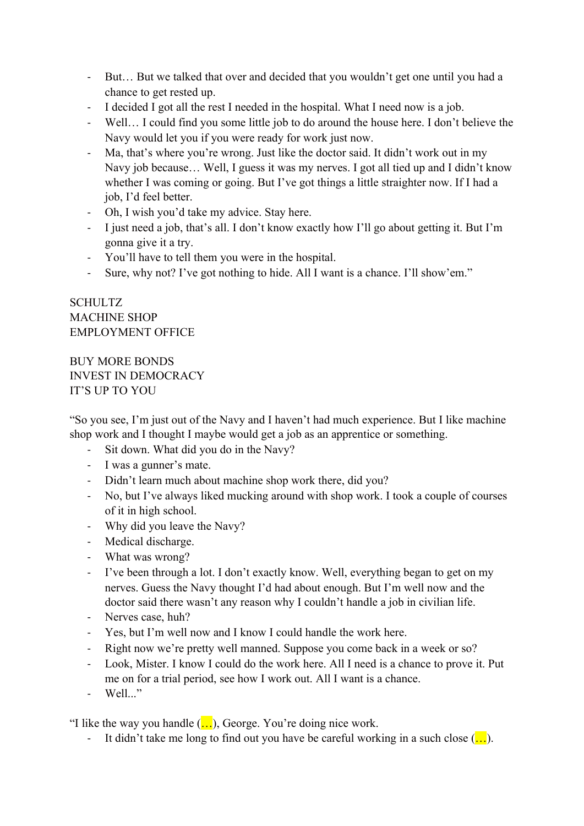- But… But we talked that over and decided that you wouldn't get one until you had a chance to get rested up.
- I decided I got all the rest I needed in the hospital. What I need now is a job.
- Well… I could find you some little job to do around the house here. I don't believe the Navy would let you if you were ready for work just now.
- Ma, that's where you're wrong. Just like the doctor said. It didn't work out in my Navy job because… Well, I guess it was my nerves. I got all tied up and I didn't know whether I was coming or going. But I've got things a little straighter now. If I had a job, I'd feel better.
- Oh, I wish you'd take my advice. Stay here.
- I just need a job, that's all. I don't know exactly how I'll go about getting it. But I'm gonna give it a try.
- You'll have to tell them you were in the hospital.
- Sure, why not? I've got nothing to hide. All I want is a chance. I'll show'em."

# **SCHULTZ** MACHINE SHOP EMPLOYMENT OFFICE

BUY MORE BONDS INVEST IN DEMOCRACY IT'S UP TO YOU

"So you see, I'm just out of the Navy and I haven't had much experience. But I like machine shop work and I thought I maybe would get a job as an apprentice or something.

- Sit down. What did you do in the Navy?
- I was a gunner's mate.
- Didn't learn much about machine shop work there, did you?
- No, but I've always liked mucking around with shop work. I took a couple of courses of it in high school.
- Why did you leave the Navy?
- Medical discharge.
- What was wrong?
- I've been through a lot. I don't exactly know. Well, everything began to get on my nerves. Guess the Navy thought I'd had about enough. But I'm well now and the doctor said there wasn't any reason why I couldn't handle a job in civilian life.
- Nerves case, huh?
- Yes, but I'm well now and I know I could handle the work here.
- Right now we're pretty well manned. Suppose you come back in a week or so?
- Look, Mister. I know I could do the work here. All I need is a chance to prove it. Put me on for a trial period, see how I work out. All I want is a chance.
- Well..."

"I like the way you handle  $(...)$ , George. You're doing nice work.

- It didn't take me long to find out you have be careful working in a such close  $($ ...).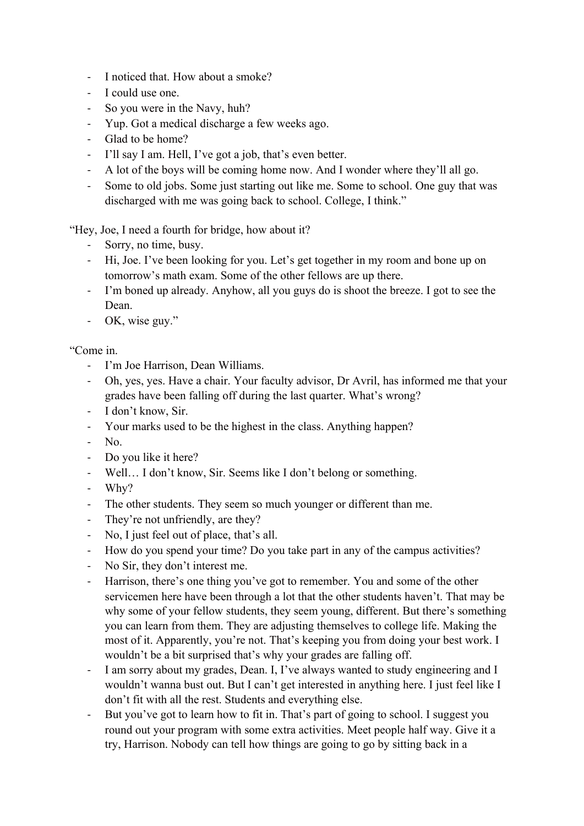- I noticed that. How about a smoke?
- I could use one.
- So you were in the Navy, huh?
- Yup. Got a medical discharge a few weeks ago.
- Glad to be home?
- I'll say I am. Hell, I've got a job, that's even better.
- A lot of the boys will be coming home now. And I wonder where they'll all go.
- Some to old jobs. Some just starting out like me. Some to school. One guy that was discharged with me was going back to school. College, I think."

"Hey, Joe, I need a fourth for bridge, how about it?

- Sorry, no time, busy.
- Hi, Joe. I've been looking for you. Let's get together in my room and bone up on tomorrow's math exam. Some of the other fellows are up there.
- I'm boned up already. Anyhow, all you guys do is shoot the breeze. I got to see the Dean.
- OK, wise guy."

"Come in.

- I'm Joe Harrison, Dean Williams.
- Oh, yes, yes. Have a chair. Your faculty advisor, Dr Avril, has informed me that your grades have been falling off during the last quarter. What's wrong?
- I don't know, Sir.
- Your marks used to be the highest in the class. Anything happen?
- No.
- Do you like it here?
- Well... I don't know, Sir. Seems like I don't belong or something.
- Why?
- The other students. They seem so much younger or different than me.
- They're not unfriendly, are they?
- No, I just feel out of place, that's all.
- How do you spend your time? Do you take part in any of the campus activities?
- No Sir, they don't interest me.
- Harrison, there's one thing you've got to remember. You and some of the other servicemen here have been through a lot that the other students haven't. That may be why some of your fellow students, they seem young, different. But there's something you can learn from them. They are adjusting themselves to college life. Making the most of it. Apparently, you're not. That's keeping you from doing your best work. I wouldn't be a bit surprised that's why your grades are falling off.
- I am sorry about my grades, Dean. I, I've always wanted to study engineering and I wouldn't wanna bust out. But I can't get interested in anything here. I just feel like I don't fit with all the rest. Students and everything else.
- But you've got to learn how to fit in. That's part of going to school. I suggest you round out your program with some extra activities. Meet people half way. Give it a try, Harrison. Nobody can tell how things are going to go by sitting back in a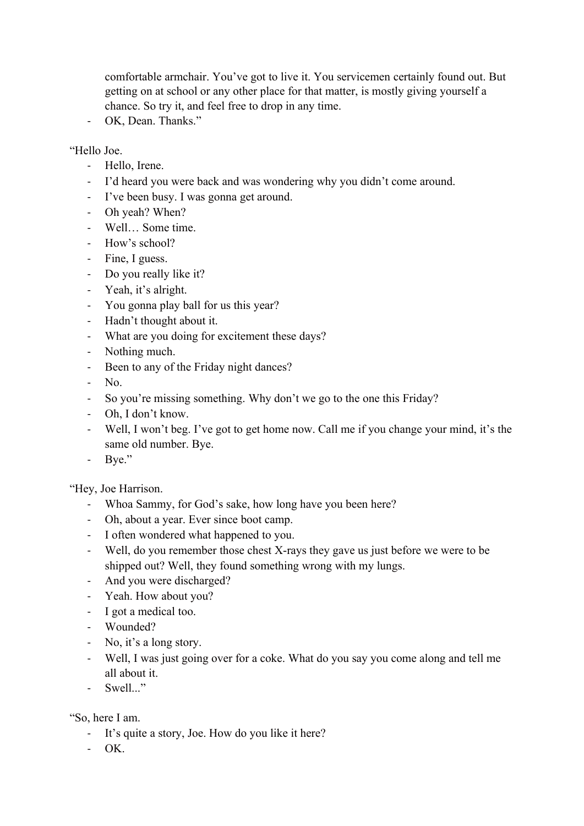comfortable armchair. You've got to live it. You servicemen certainly found out. But getting on at school or any other place for that matter, is mostly giving yourself a chance. So try it, and feel free to drop in any time.

- OK, Dean. Thanks."

"Hello Joe.

- Hello, Irene.
- I'd heard you were back and was wondering why you didn't come around.
- I've been busy. I was gonna get around.
- Oh yeah? When?
- Well… Some time.
- How's school?
- Fine, I guess.
- Do you really like it?
- Yeah, it's alright.
- You gonna play ball for us this year?
- Hadn't thought about it.
- What are you doing for excitement these days?
- Nothing much.
- Been to any of the Friday night dances?
- No.
- So you're missing something. Why don't we go to the one this Friday?
- Oh, I don't know.
- Well, I won't beg. I've got to get home now. Call me if you change your mind, it's the same old number. Bye.
- Bye."

"Hey, Joe Harrison.

- Whoa Sammy, for God's sake, how long have you been here?
- Oh, about a year. Ever since boot camp.
- I often wondered what happened to you.
- Well, do you remember those chest X-rays they gave us just before we were to be shipped out? Well, they found something wrong with my lungs.
- And you were discharged?
- Yeah. How about you?
- I got a medical too.
- Wounded?
- No, it's a long story.
- Well, I was just going over for a coke. What do you say you come along and tell me all about it.
- Swell..."

"So, here I am.

- It's quite a story, Joe. How do you like it here?
- $-$  OK.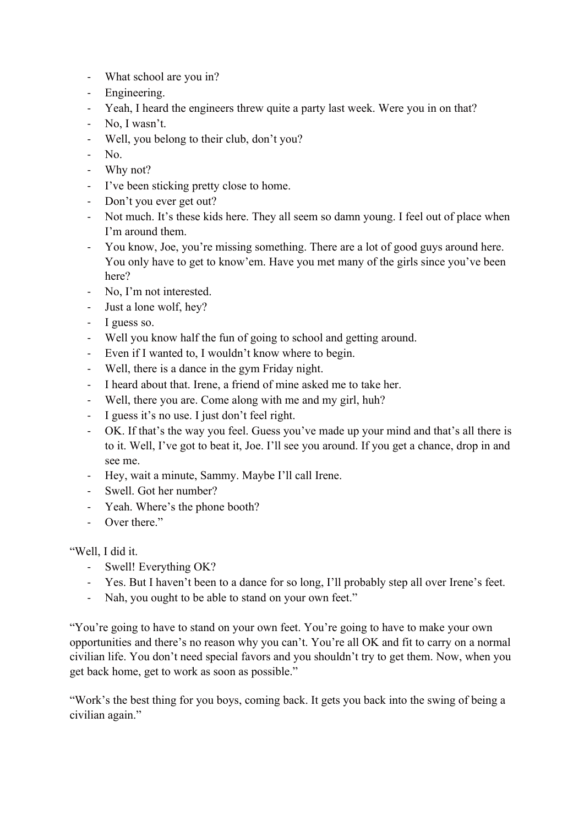- What school are you in?
- Engineering.
- Yeah, I heard the engineers threw quite a party last week. Were you in on that?
- No, I wasn't.
- Well, you belong to their club, don't you?
- No.
- Why not?
- I've been sticking pretty close to home.
- Don't you ever get out?
- Not much. It's these kids here. They all seem so damn young. I feel out of place when I'm around them.
- You know, Joe, you're missing something. There are a lot of good guys around here. You only have to get to know'em. Have you met many of the girls since you've been here?
- No, I'm not interested.
- Just a lone wolf, hey?
- I guess so.
- Well you know half the fun of going to school and getting around.
- Even if I wanted to, I wouldn't know where to begin.
- Well, there is a dance in the gym Friday night.
- I heard about that. Irene, a friend of mine asked me to take her.
- Well, there you are. Come along with me and my girl, huh?
- I guess it's no use. I just don't feel right.
- OK. If that's the way you feel. Guess you've made up your mind and that's all there is to it. Well, I've got to beat it, Joe. I'll see you around. If you get a chance, drop in and see me.
- Hey, wait a minute, Sammy. Maybe I'll call Irene.
- Swell. Got her number?
- Yeah. Where's the phone booth?
- Over there."

"Well, I did it.

- Swell! Everything OK?
- Yes. But I haven't been to a dance for so long, I'll probably step all over Irene's feet.
- Nah, you ought to be able to stand on your own feet."

"You're going to have to stand on your own feet. You're going to have to make your own opportunities and there's no reason why you can't. You're all OK and fit to carry on a normal civilian life. You don't need special favors and you shouldn't try to get them. Now, when you get back home, get to work as soon as possible."

"Work's the best thing for you boys, coming back. It gets you back into the swing of being a civilian again."